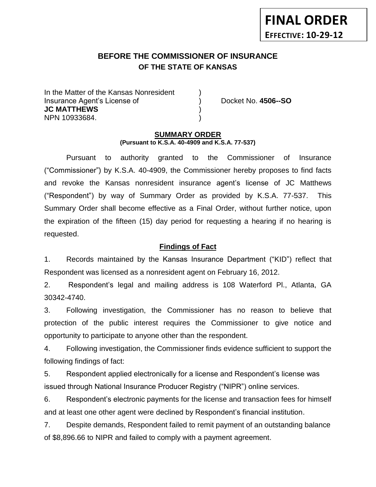# **BEFORE THE COMMISSIONER OF INSURANCE** *-12***OF THE STATE OF KANSAS**

In the Matter of the Kansas Nonresident Insurance Agent's License of ) Docket No. **4506--SO JC MATTHEWS** ) NPN 10933684. )

#### **SUMMARY ORDER (Pursuant to K.S.A. 40-4909 and K.S.A. 77-537)**

Pursuant to authority granted to the Commissioner of Insurance ("Commissioner") by K.S.A. 40-4909, the Commissioner hereby proposes to find facts and revoke the Kansas nonresident insurance agent's license of JC Matthews ("Respondent") by way of Summary Order as provided by K.S.A. 77-537. This Summary Order shall become effective as a Final Order, without further notice, upon the expiration of the fifteen (15) day period for requesting a hearing if no hearing is requested.

# **Findings of Fact**

1. Records maintained by the Kansas Insurance Department ("KID") reflect that Respondent was licensed as a nonresident agent on February 16, 2012.

2. Respondent's legal and mailing address is 108 Waterford Pl., Atlanta, GA 30342-4740.

3. Following investigation, the Commissioner has no reason to believe that protection of the public interest requires the Commissioner to give notice and opportunity to participate to anyone other than the respondent.

4. Following investigation, the Commissioner finds evidence sufficient to support the following findings of fact:

5. Respondent applied electronically for a license and Respondent's license was issued through National Insurance Producer Registry ("NIPR") online services.

6. Respondent's electronic payments for the license and transaction fees for himself and at least one other agent were declined by Respondent's financial institution.

7. Despite demands, Respondent failed to remit payment of an outstanding balance of \$8,896.66 to NIPR and failed to comply with a payment agreement.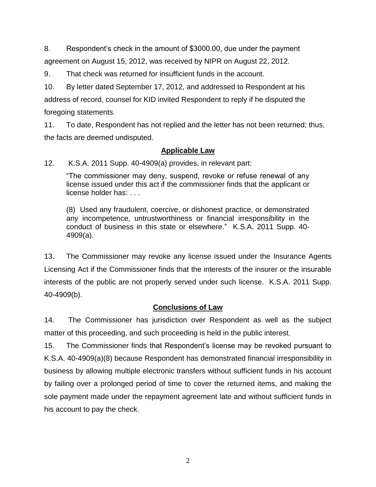8. Respondent's check in the amount of \$3000.00, due under the payment agreement on August 15, 2012, was received by NIPR on August 22, 2012.

9. That check was returned for insufficient funds in the account.

10. By letter dated September 17, 2012, and addressed to Respondent at his address of record, counsel for KID invited Respondent to reply if he disputed the foregoing statements.

11. To date, Respondent has not replied and the letter has not been returned; thus, the facts are deemed undisputed.

## **Applicable Law**

12. K.S.A. 2011 Supp. 40-4909(a) provides, in relevant part:

"The commissioner may deny, suspend, revoke or refuse renewal of any license issued under this act if the commissioner finds that the applicant or license holder has: . . .

(8) Used any fraudulent, coercive, or dishonest practice, or demonstrated any incompetence, untrustworthiness or financial irresponsibility in the conduct of business in this state or elsewhere." K.S.A. 2011 Supp. 40- 4909(a).

13. The Commissioner may revoke any license issued under the Insurance Agents Licensing Act if the Commissioner finds that the interests of the insurer or the insurable interests of the public are not properly served under such license. K.S.A. 2011 Supp. 40-4909(b).

# **Conclusions of Law**

14. The Commissioner has jurisdiction over Respondent as well as the subject matter of this proceeding, and such proceeding is held in the public interest.

15. The Commissioner finds that Respondent's license may be revoked pursuant to K.S.A. 40-4909(a)(8) because Respondent has demonstrated financial irresponsibility in business by allowing multiple electronic transfers without sufficient funds in his account by failing over a prolonged period of time to cover the returned items, and making the sole payment made under the repayment agreement late and without sufficient funds in his account to pay the check.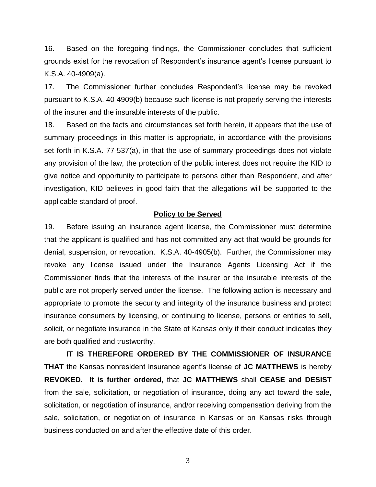16. Based on the foregoing findings, the Commissioner concludes that sufficient grounds exist for the revocation of Respondent's insurance agent's license pursuant to K.S.A. 40-4909(a).

17. The Commissioner further concludes Respondent's license may be revoked pursuant to K.S.A. 40-4909(b) because such license is not properly serving the interests of the insurer and the insurable interests of the public.

18. Based on the facts and circumstances set forth herein, it appears that the use of summary proceedings in this matter is appropriate, in accordance with the provisions set forth in K.S.A. 77-537(a), in that the use of summary proceedings does not violate any provision of the law, the protection of the public interest does not require the KID to give notice and opportunity to participate to persons other than Respondent, and after investigation, KID believes in good faith that the allegations will be supported to the applicable standard of proof.

#### **Policy to be Served**

19. Before issuing an insurance agent license, the Commissioner must determine that the applicant is qualified and has not committed any act that would be grounds for denial, suspension, or revocation. K.S.A. 40-4905(b). Further, the Commissioner may revoke any license issued under the Insurance Agents Licensing Act if the Commissioner finds that the interests of the insurer or the insurable interests of the public are not properly served under the license. The following action is necessary and appropriate to promote the security and integrity of the insurance business and protect insurance consumers by licensing, or continuing to license, persons or entities to sell, solicit, or negotiate insurance in the State of Kansas only if their conduct indicates they are both qualified and trustworthy.

**IT IS THEREFORE ORDERED BY THE COMMISSIONER OF INSURANCE THAT** the Kansas nonresident insurance agent's license of **JC MATTHEWS** is hereby **REVOKED. It is further ordered,** that **JC MATTHEWS** shall **CEASE and DESIST** from the sale, solicitation, or negotiation of insurance, doing any act toward the sale, solicitation, or negotiation of insurance, and/or receiving compensation deriving from the sale, solicitation, or negotiation of insurance in Kansas or on Kansas risks through business conducted on and after the effective date of this order.

3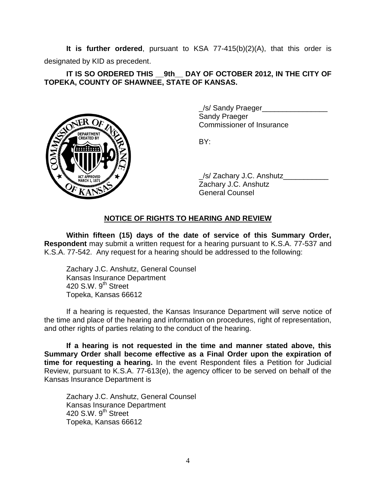**It is further ordered**, pursuant to KSA 77-415(b)(2)(A), that this order is designated by KID as precedent.

**IT IS SO ORDERED THIS \_\_9th\_\_ DAY OF OCTOBER 2012, IN THE CITY OF TOPEKA, COUNTY OF SHAWNEE, STATE OF KANSAS.**



\_/s/ Sandy Praeger\_\_\_\_\_\_\_\_\_\_\_\_\_\_\_\_ Sandy Praeger Commissioner of Insurance

BY:

/s/ Zachary J.C. Anshutz Zachary J.C. Anshutz General Counsel

## **NOTICE OF RIGHTS TO HEARING AND REVIEW**

**Within fifteen (15) days of the date of service of this Summary Order, Respondent** may submit a written request for a hearing pursuant to K.S.A. 77-537 and K.S.A. 77-542. Any request for a hearing should be addressed to the following:

Zachary J.C. Anshutz, General Counsel Kansas Insurance Department 420 S.W. 9<sup>th</sup> Street Topeka, Kansas 66612

If a hearing is requested, the Kansas Insurance Department will serve notice of the time and place of the hearing and information on procedures, right of representation, and other rights of parties relating to the conduct of the hearing.

**If a hearing is not requested in the time and manner stated above, this Summary Order shall become effective as a Final Order upon the expiration of time for requesting a hearing.** In the event Respondent files a Petition for Judicial Review, pursuant to K.S.A. 77-613(e), the agency officer to be served on behalf of the Kansas Insurance Department is

Zachary J.C. Anshutz, General Counsel Kansas Insurance Department 420 S.W.  $9<sup>th</sup>$  Street Topeka, Kansas 66612